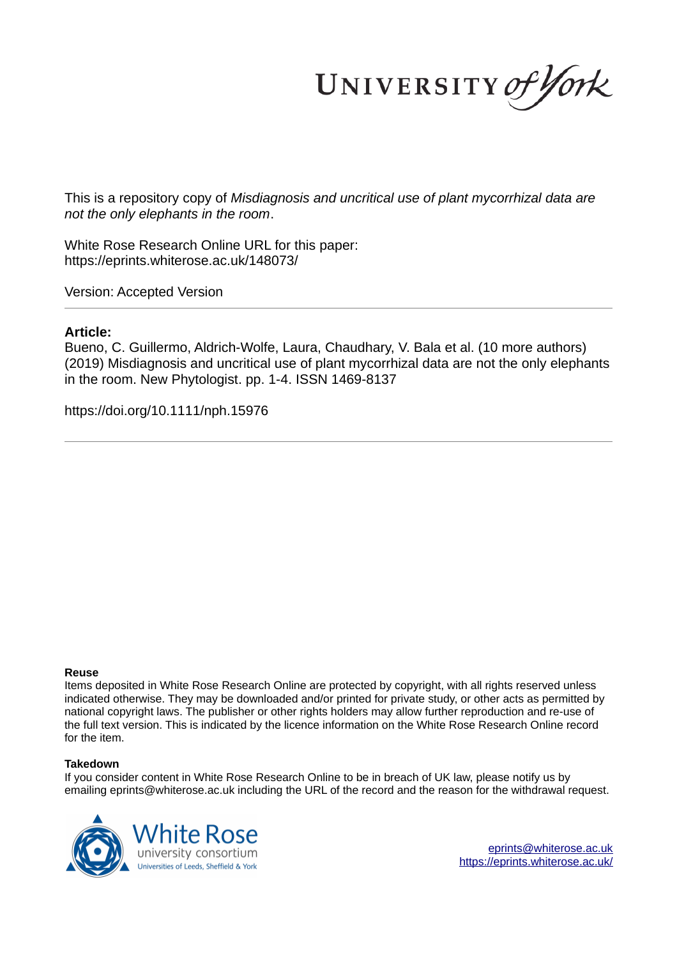UNIVERSITY of York

This is a repository copy of *Misdiagnosis and uncritical use of plant mycorrhizal data are not the only elephants in the room*.

White Rose Research Online URL for this paper: https://eprints.whiterose.ac.uk/148073/

Version: Accepted Version

## **Article:**

Bueno, C. Guillermo, Aldrich-Wolfe, Laura, Chaudhary, V. Bala et al. (10 more authors) (2019) Misdiagnosis and uncritical use of plant mycorrhizal data are not the only elephants in the room. New Phytologist. pp. 1-4. ISSN 1469-8137

https://doi.org/10.1111/nph.15976

### **Reuse**

Items deposited in White Rose Research Online are protected by copyright, with all rights reserved unless indicated otherwise. They may be downloaded and/or printed for private study, or other acts as permitted by national copyright laws. The publisher or other rights holders may allow further reproduction and re-use of the full text version. This is indicated by the licence information on the White Rose Research Online record for the item.

### **Takedown**

If you consider content in White Rose Research Online to be in breach of UK law, please notify us by emailing eprints@whiterose.ac.uk including the URL of the record and the reason for the withdrawal request.



eprints@whiterose.ac.uk https://eprints.whiterose.ac.uk/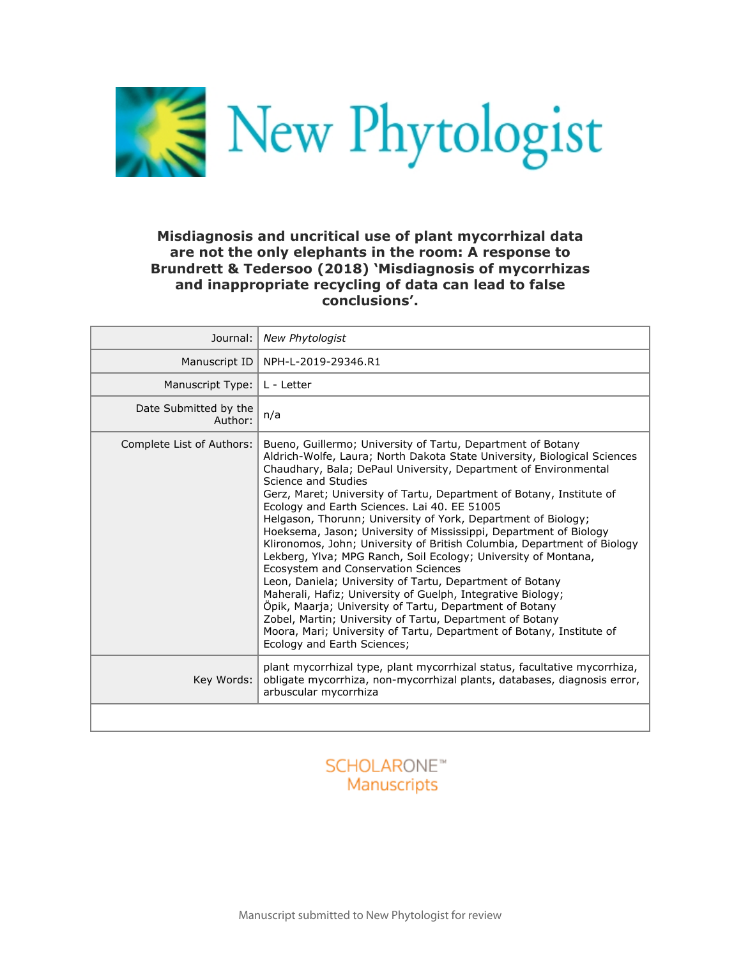

## **Misdiagnosis and uncritical use of plant mycorrhizal data are not the only elephants in the room: A response to Brundrett & Tedersoo (2018) 'Misdiagnosis of mycorrhizas and inappropriate recycling of data can lead to false conclusions'.**

| Journal:                         | <b>New Phytologist</b>                                                                                                                                                                                                                                                                                                                                                                                                                                                                                                                                                                                                                                                                                                                                                                                                                                                                                                                                                                                                                       |
|----------------------------------|----------------------------------------------------------------------------------------------------------------------------------------------------------------------------------------------------------------------------------------------------------------------------------------------------------------------------------------------------------------------------------------------------------------------------------------------------------------------------------------------------------------------------------------------------------------------------------------------------------------------------------------------------------------------------------------------------------------------------------------------------------------------------------------------------------------------------------------------------------------------------------------------------------------------------------------------------------------------------------------------------------------------------------------------|
| Manuscript ID                    | NPH-L-2019-29346.R1                                                                                                                                                                                                                                                                                                                                                                                                                                                                                                                                                                                                                                                                                                                                                                                                                                                                                                                                                                                                                          |
| Manuscript Type:                 | L - Letter                                                                                                                                                                                                                                                                                                                                                                                                                                                                                                                                                                                                                                                                                                                                                                                                                                                                                                                                                                                                                                   |
| Date Submitted by the<br>Author: | n/a                                                                                                                                                                                                                                                                                                                                                                                                                                                                                                                                                                                                                                                                                                                                                                                                                                                                                                                                                                                                                                          |
| Complete List of Authors:        | Bueno, Guillermo; University of Tartu, Department of Botany<br>Aldrich-Wolfe, Laura; North Dakota State University, Biological Sciences<br>Chaudhary, Bala; DePaul University, Department of Environmental<br>Science and Studies<br>Gerz, Maret; University of Tartu, Department of Botany, Institute of<br>Ecology and Earth Sciences. Lai 40. EE 51005<br>Helgason, Thorunn; University of York, Department of Biology;<br>Hoeksema, Jason; University of Mississippi, Department of Biology<br>Klironomos, John; University of British Columbia, Department of Biology<br>Lekberg, Ylva; MPG Ranch, Soil Ecology; University of Montana,<br>Ecosystem and Conservation Sciences<br>Leon, Daniela; University of Tartu, Department of Botany<br>Maherali, Hafiz; University of Guelph, Integrative Biology;<br>Öpik, Maarja; University of Tartu, Department of Botany<br>Zobel, Martin; University of Tartu, Department of Botany<br>Moora, Mari; University of Tartu, Department of Botany, Institute of<br>Ecology and Earth Sciences; |
| Key Words:                       | plant mycorrhizal type, plant mycorrhizal status, facultative mycorrhiza,<br>obligate mycorrhiza, non-mycorrhizal plants, databases, diagnosis error,<br>arbuscular mycorrhiza                                                                                                                                                                                                                                                                                                                                                                                                                                                                                                                                                                                                                                                                                                                                                                                                                                                               |
|                                  |                                                                                                                                                                                                                                                                                                                                                                                                                                                                                                                                                                                                                                                                                                                                                                                                                                                                                                                                                                                                                                              |

# **SCHOLARONE™ Manuscripts**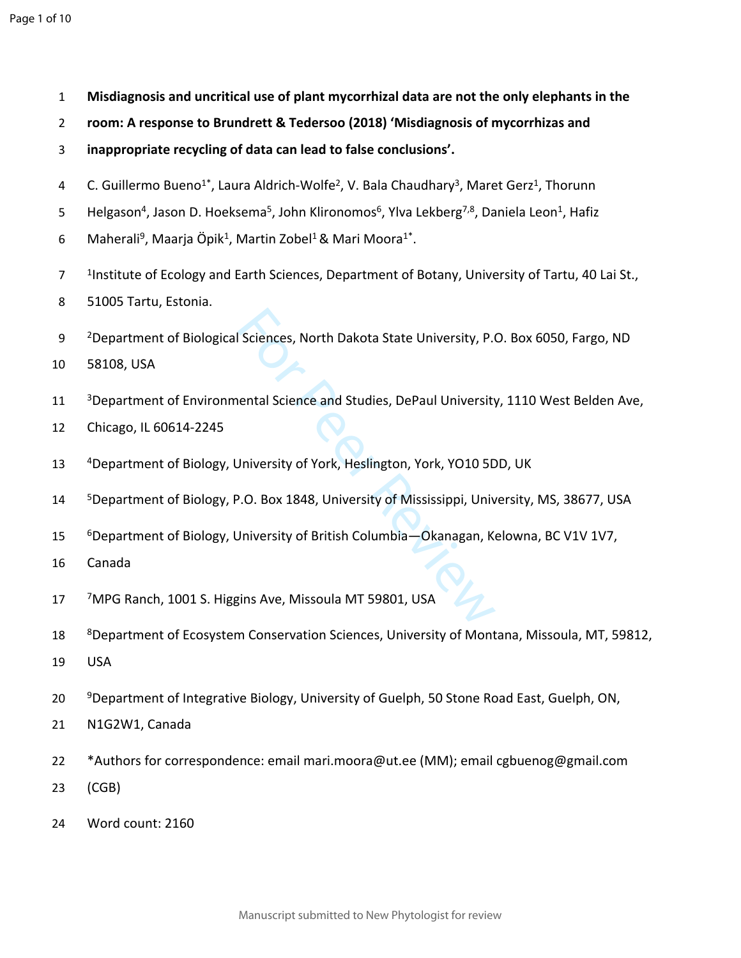- **Misdiagnosis and uncritical use of plant mycorrhizal data are not the only elephants in the**
- **room: A response to Brundrett & Tedersoo (2018) 'Misdiagnosis of mycorrhizas and**
- **inappropriate recycling of data can lead to false conclusions'.**
- 4 C. Guillermo Bueno<sup>1\*</sup>, Laura Aldrich-Wolfe<sup>2</sup>, V. Bala Chaudhary<sup>3</sup>, Maret Gerz<sup>1</sup>, Thorunn
- 5 Helgason<sup>4</sup>, Jason D. Hoeksema<sup>5</sup>, John Klironomos<sup>6</sup>, Ylva Lekberg<sup>7,8</sup>, Daniela Leon<sup>1</sup>, Hafiz
- 6 Maherali<sup>9</sup>, Maarja Öpik<sup>1</sup>, Martin Zobel<sup>1</sup> & Mari Moora<sup>1\*</sup>.
- <sup>1</sup>Institute of Ecology and Earth Sciences, Department of Botany, University of Tartu, 40 Lai St.,
- 51005 Tartu, Estonia.
- Sciences, North Dakota State University, P.<br>
1991 Contract University<br>
1991 University of York, Heslington, York, YO10<br>
1991 P.O. Box 1848, University of Mississippi, University of British Columbia<br>
1998 P.Aanagan, 9 <sup>2</sup>Department of Biological Sciences, North Dakota State University, P.O. Box 6050, Fargo, ND
- 58108, USA
- Department of Environmental Science and Studies, DePaul University, 1110 West Belden Ave,
- Chicago, IL 60614-2245
- Department of Biology, University of York, Heslington, York, YO10 5DD, UK
- Department of Biology, P.O. Box 1848, University of Mississippi, University, MS, 38677, USA
- Department of Biology, University of British Columbia—Okanagan, Kelowna, BC V1V 1V7,
- Canada
- MPG Ranch, 1001 S. Higgins Ave, Missoula MT 59801, USA
- Department of Ecosystem Conservation Sciences, University of Montana, Missoula, MT, 59812,
- USA
- Department of Integrative Biology, University of Guelph, 50 Stone Road East, Guelph, ON,
- N1G2W1, Canada
- \*Authors for correspondence: email mari.moora@ut.ee (MM); email cgbuenog@gmail.com
- (CGB)
- Word count: 2160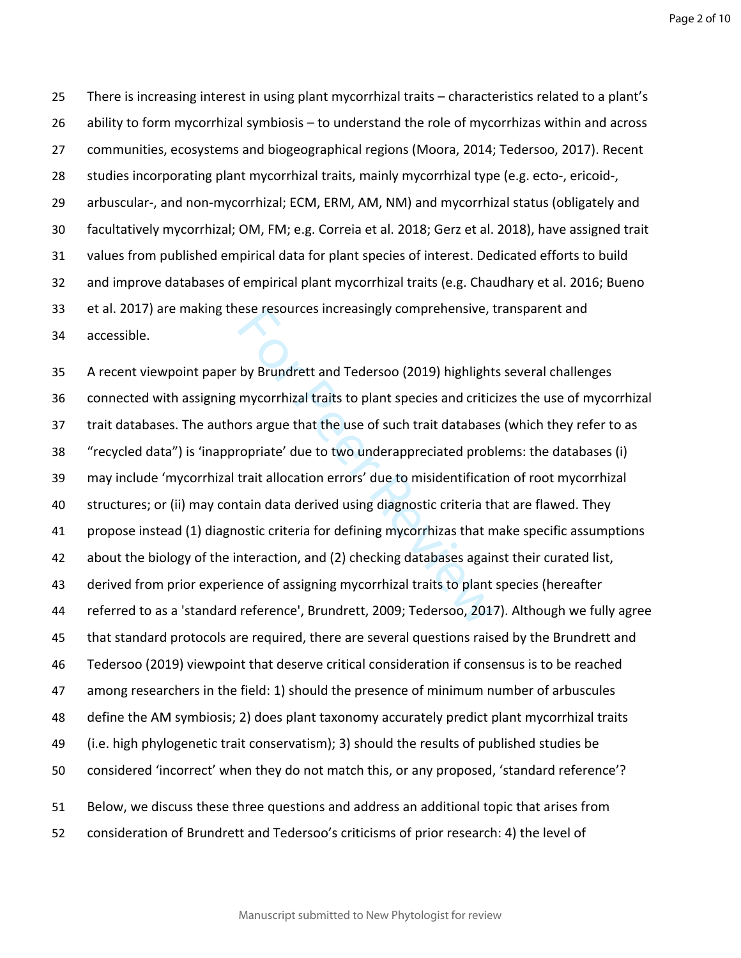Page 2 of 10

 There is increasing interest in using plant mycorrhizal traits – characteristics related to a plant's ability to form mycorrhizal symbiosis – to understand the role of mycorrhizas within and across communities, ecosystems and biogeographical regions (Moora, 2014; Tedersoo, 2017). Recent studies incorporating plant mycorrhizal traits, mainly mycorrhizal type (e.g. ecto-, ericoid-, arbuscular-, and non-mycorrhizal; ECM, ERM, AM, NM) and mycorrhizal status (obligately and facultatively mycorrhizal; OM, FM; e.g. Correia et al. 2018; Gerz et al. 2018), have assigned trait values from published empirical data for plant species of interest. Dedicated efforts to build and improve databases of empirical plant mycorrhizal traits (e.g. Chaudhary et al. 2016; Bueno et al. 2017) are making these resources increasingly comprehensive, transparent and accessible.

ese resources increasingly comprenensive, they by Brundrett and Tedersoo (2019) highlight.<br>
In mycorrhizal traits to plant species and critic<br>
por argue that the use of such trait database<br>
ropriate' due to two underapprec A recent viewpoint paper by Brundrett and Tedersoo (2019) highlights several challenges connected with assigning mycorrhizal traits to plant species and criticizes the use of mycorrhizal trait databases. The authors argue that the use of such trait databases (which they refer to as "recycled data") is 'inappropriate' due to two underappreciated problems: the databases (i) may include 'mycorrhizal trait allocation errors' due to misidentification of root mycorrhizal structures; or (ii) may contain data derived using diagnostic criteria that are flawed. They propose instead (1) diagnostic criteria for defining mycorrhizas that make specific assumptions about the biology of the interaction, and (2) checking databases against their curated list, derived from prior experience of assigning mycorrhizal traits to plant species (hereafter referred to as a 'standard reference', Brundrett, 2009; Tedersoo, 2017). Although we fully agree that standard protocols are required, there are several questions raised by the Brundrett and Tedersoo (2019) viewpoint that deserve critical consideration if consensus is to be reached among researchers in the field: 1) should the presence of minimum number of arbuscules define the AM symbiosis; 2) does plant taxonomy accurately predict plant mycorrhizal traits (i.e. high phylogenetic trait conservatism); 3) should the results of published studies be considered 'incorrect' when they do not match this, or any proposed, 'standard reference'? Below, we discuss these three questions and address an additional topic that arises from consideration of Brundrett and Tedersoo's criticisms of prior research: 4) the level of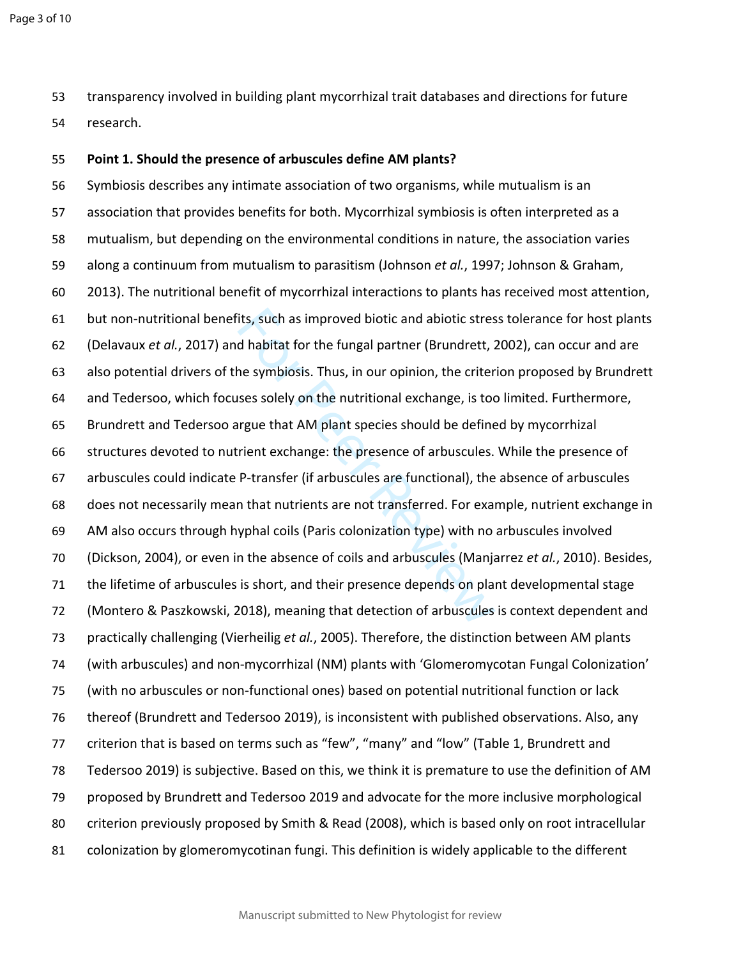transparency involved in building plant mycorrhizal trait databases and directions for future research.

## **Point 1. Should the presence of arbuscules define AM plants?**

its, such as improved biotic and abiotic stres<br>d habitat for the fungal partner (Brundrett,  $\lambda$ <br>ne symbiosis. Thus, in our opinion, the criter<br>ses solely on the nutritional exchange, is too<br>rrgue that AM plant species sho Symbiosis describes any intimate association of two organisms, while mutualism is an association that provides benefits for both. Mycorrhizal symbiosis is often interpreted as a mutualism, but depending on the environmental conditions in nature, the association varies along a continuum from mutualism to parasitism (Johnson *et al.*, 1997; Johnson & Graham, 2013). The nutritional benefit of mycorrhizal interactions to plants has received most attention, but non-nutritional benefits, such as improved biotic and abiotic stress tolerance for host plants (Delavaux *et al.*, 2017) and habitat for the fungal partner (Brundrett, 2002), can occur and are also potential drivers of the symbiosis. Thus, in our opinion, the criterion proposed by Brundrett and Tedersoo, which focuses solely on the nutritional exchange, is too limited. Furthermore, Brundrett and Tedersoo argue that AM plant species should be defined by mycorrhizal structures devoted to nutrient exchange: the presence of arbuscules. While the presence of arbuscules could indicate P-transfer (if arbuscules are functional), the absence of arbuscules does not necessarily mean that nutrients are not transferred. For example, nutrient exchange in AM also occurs through hyphal coils (Paris colonization type) with no arbuscules involved (Dickson, 2004), or even in the absence of coils and arbuscules (Manjarrez *et al.*, 2010). Besides, the lifetime of arbuscules is short, and their presence depends on plant developmental stage (Montero & Paszkowski, 2018), meaning that detection of arbuscules is context dependent and practically challenging (Vierheilig *et al.*, 2005). Therefore, the distinction between AM plants (with arbuscules) and non-mycorrhizal (NM) plants with 'Glomeromycotan Fungal Colonization' (with no arbuscules or non-functional ones) based on potential nutritional function or lack thereof (Brundrett and Tedersoo 2019), is inconsistent with published observations. Also, any criterion that is based on terms such as "few", "many" and "low" (Table 1, Brundrett and Tedersoo 2019) is subjective. Based on this, we think it is premature to use the definition of AM proposed by Brundrett and Tedersoo 2019 and advocate for the more inclusive morphological criterion previously proposed by Smith & Read (2008), which is based only on root intracellular colonization by glomeromycotinan fungi. This definition is widely applicable to the different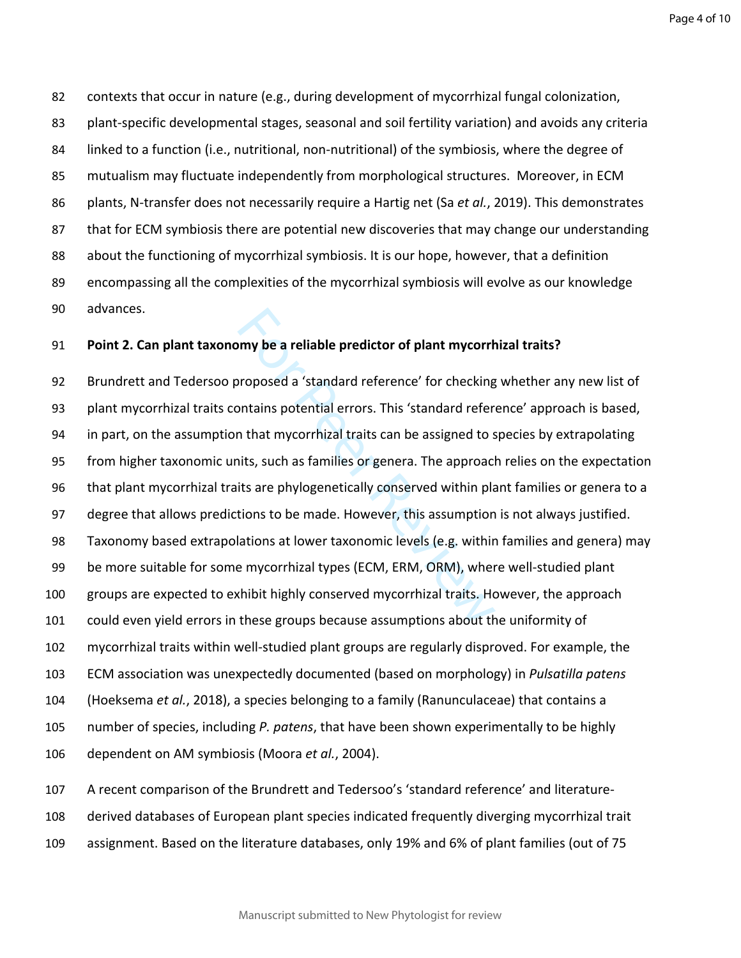Page 4 of 10

 contexts that occur in nature (e.g., during development of mycorrhizal fungal colonization, plant-specific developmental stages, seasonal and soil fertility variation) and avoids any criteria linked to a function (i.e., nutritional, non-nutritional) of the symbiosis, where the degree of mutualism may fluctuate independently from morphological structures. Moreover, in ECM plants, N-transfer does not necessarily require a Hartig net (Sa *et al.*, 2019). This demonstrates that for ECM symbiosis there are potential new discoveries that may change our understanding about the functioning of mycorrhizal symbiosis. It is our hope, however, that a definition encompassing all the complexities of the mycorrhizal symbiosis will evolve as our knowledge advances.

## **Point 2. Can plant taxonomy be a reliable predictor of plant mycorrhizal traits?**

my be a reliable predictor of plant mycorrh<br>proposed a 'standard reference' for checking<br>portains potential errors. This 'standard reference<br>in that mycorrhizal traits can be assigned to s<br>its, such as families or genera. Brundrett and Tedersoo proposed a 'standard reference' for checking whether any new list of plant mycorrhizal traits contains potential errors. This 'standard reference' approach is based, in part, on the assumption that mycorrhizal traits can be assigned to species by extrapolating from higher taxonomic units, such as families or genera. The approach relies on the expectation that plant mycorrhizal traits are phylogenetically conserved within plant families or genera to a degree that allows predictions to be made. However, this assumption is not always justified. Taxonomy based extrapolations at lower taxonomic levels (e.g. within families and genera) may be more suitable for some mycorrhizal types (ECM, ERM, ORM), where well-studied plant groups are expected to exhibit highly conserved mycorrhizal traits. However, the approach could even yield errors in these groups because assumptions about the uniformity of mycorrhizal traits within well-studied plant groups are regularly disproved. For example, the ECM association was unexpectedly documented (based on morphology) in *Pulsatilla patens* (Hoeksema *et al.*, 2018), a species belonging to a family (Ranunculaceae) that contains a number of species, including *P. patens*, that have been shown experimentally to be highly dependent on AM symbiosis (Moora *et al.*, 2004).

 A recent comparison of the Brundrett and Tedersoo's 'standard reference' and literature- derived databases of European plant species indicated frequently diverging mycorrhizal trait assignment. Based on the literature databases, only 19% and 6% of plant families (out of 75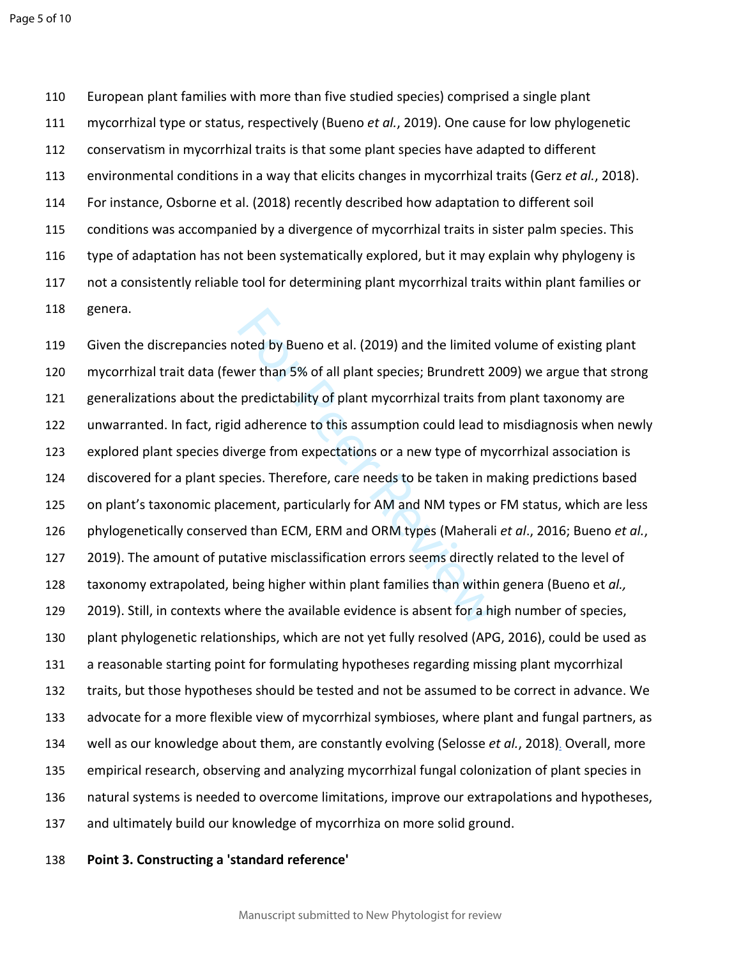European plant families with more than five studied species) comprised a single plant mycorrhizal type or status, respectively (Bueno *et al.*, 2019). One cause for low phylogenetic conservatism in mycorrhizal traits is that some plant species have adapted to different environmental conditions in a way that elicits changes in mycorrhizal traits (Gerz *et al.*, 2018). For instance, Osborne et al. (2018) recently described how adaptation to different soil conditions was accompanied by a divergence of mycorrhizal traits in sister palm species. This type of adaptation has not been systematically explored, but it may explain why phylogeny is not a consistently reliable tool for determining plant mycorrhizal traits within plant families or genera.

oted by Bueno et al. (2019) and the limited ver than 5% of all plant species; Brundrett 2<br>predictability of plant mycorrhizal traits from<br>d adherence to this assumption could lead to<br>verge from expectations or a new type o Given the discrepancies noted by Bueno et al. (2019) and the limited volume of existing plant mycorrhizal trait data (fewer than 5% of all plant species; Brundrett 2009) we argue that strong generalizations about the predictability of plant mycorrhizal traits from plant taxonomy are unwarranted. In fact, rigid adherence to this assumption could lead to misdiagnosis when newly explored plant species diverge from expectations or a new type of mycorrhizal association is discovered for a plant species. Therefore, care needs to be taken in making predictions based on plant's taxonomic placement, particularly for AM and NM types or FM status, which are less phylogenetically conserved than ECM, ERM and ORM types (Maherali *et al*., 2016; Bueno *et al.*, 2019). The amount of putative misclassification errors seems directly related to the level of taxonomy extrapolated, being higher within plant families than within genera (Bueno et *al.,* 2019). Still, in contexts where the available evidence is absent for a high number of species, plant phylogenetic relationships, which are not yet fully resolved (APG, 2016), could be used as a reasonable starting point for formulating hypotheses regarding missing plant mycorrhizal traits, but those hypotheses should be tested and not be assumed to be correct in advance. We advocate for a more flexible view of mycorrhizal symbioses, where plant and fungal partners, as well as our knowledge about them, are constantly evolving (Selosse *et al.*, 2018) . Overall, more empirical research, observing and analyzing mycorrhizal fungal colonization of plant species in natural systems is needed to overcome limitations, improve our extrapolations and hypotheses, and ultimately build our knowledge of mycorrhiza on more solid ground.

## **Point 3. Constructing a 'standard reference'**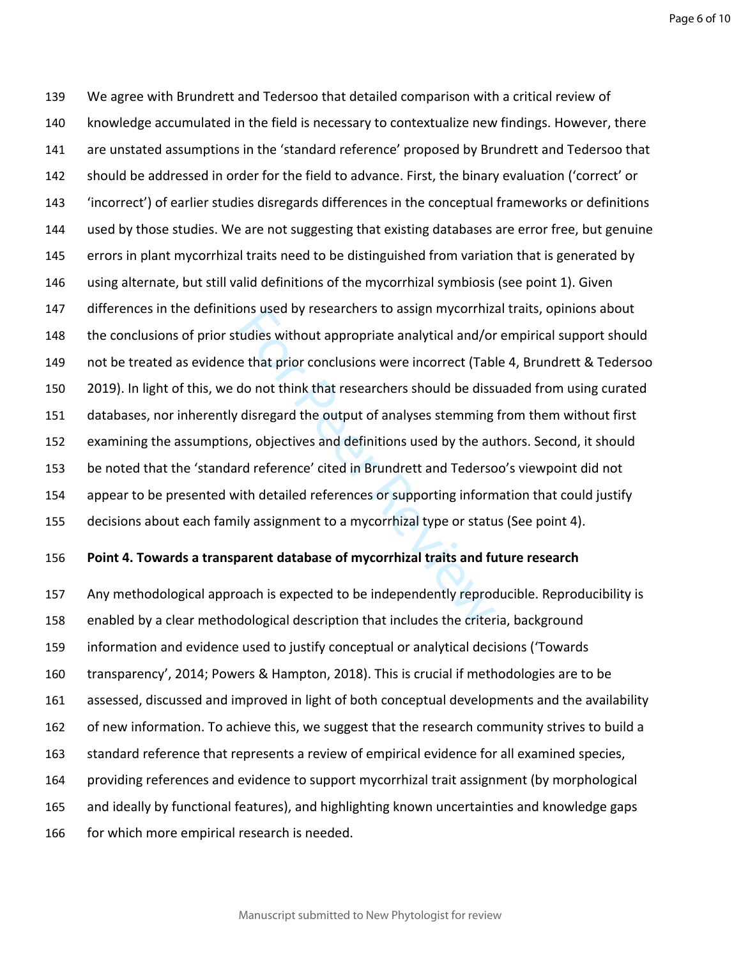Page 6 of 10

ons used by researchers to assign mycorrhizations without appropriate analytical and/or<br>e that prior conclusions were incorrect (Table do not think that researchers should be dissel<br>disregard the output of analyses stemmin We agree with Brundrett and Tedersoo that detailed comparison with a critical review of knowledge accumulated in the field is necessary to contextualize new findings. However, there are unstated assumptions in the 'standard reference' proposed by Brundrett and Tedersoo that should be addressed in order for the field to advance. First, the binary evaluation ('correct' or 'incorrect') of earlier studies disregards differences in the conceptual frameworks or definitions used by those studies. We are not suggesting that existing databases are error free, but genuine errors in plant mycorrhizal traits need to be distinguished from variation that is generated by using alternate, but still valid definitions of the mycorrhizal symbiosis (see point 1). Given differences in the definitions used by researchers to assign mycorrhizal traits, opinions about the conclusions of prior studies without appropriate analytical and/or empirical support should not be treated as evidence that prior conclusions were incorrect (Table 4, Brundrett & Tedersoo 2019). In light of this, we do not think that researchers should be dissuaded from using curated databases, nor inherently disregard the output of analyses stemming from them without first examining the assumptions, objectives and definitions used by the authors. Second, it should be noted that the 'standard reference' cited in Brundrett and Tedersoo's viewpoint did not appear to be presented with detailed references or supporting information that could justify decisions about each family assignment to a mycorrhizal type or status (See point 4).

## **Point 4. Towards a transparent database of mycorrhizal traits and future research**

 Any methodological approach is expected to be independently reproducible. Reproducibility is enabled by a clear methodological description that includes the criteria, background information and evidence used to justify conceptual or analytical decisions ('Towards transparency', 2014; Powers & Hampton, 2018). This is crucial if methodologies are to be assessed, discussed and improved in light of both conceptual developments and the availability of new information. To achieve this, we suggest that the research community strives to build a standard reference that represents a review of empirical evidence for all examined species, providing references and evidence to support mycorrhizal trait assignment (by morphological and ideally by functional features), and highlighting known uncertainties and knowledge gaps for which more empirical research is needed.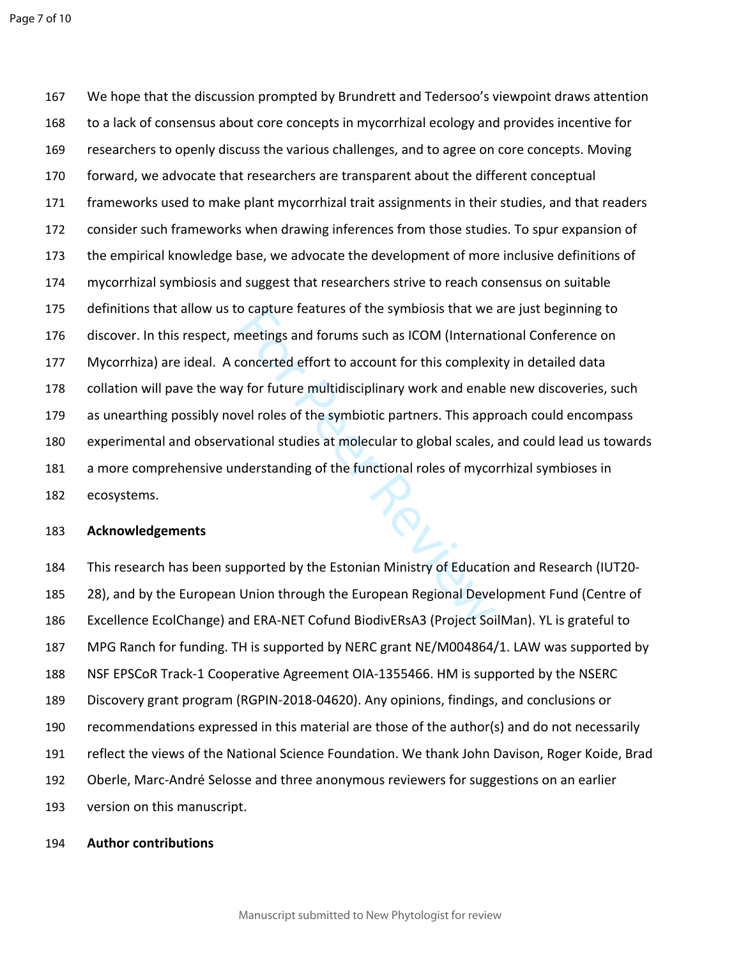o capture reatures or the symplosis that we<br>meetings and forums such as ICOM (Internat<br>concerted effort to account for this complex<br>y for future multidisciplinary work and enab<br>vel roles of the symbiotic partners. This app We hope that the discussion prompted by Brundrett and Tedersoo's viewpoint draws attention to a lack of consensus about core concepts in mycorrhizal ecology and provides incentive for researchers to openly discuss the various challenges, and to agree on core concepts. Moving forward, we advocate that researchers are transparent about the different conceptual frameworks used to make plant mycorrhizal trait assignments in their studies, and that readers consider such frameworks when drawing inferences from those studies. To spur expansion of the empirical knowledge base, we advocate the development of more inclusive definitions of mycorrhizal symbiosis and suggest that researchers strive to reach consensus on suitable definitions that allow us to capture features of the symbiosis that we are just beginning to discover. In this respect, meetings and forums such as ICOM (International Conference on Mycorrhiza) are ideal. A concerted effort to account for this complexity in detailed data collation will pave the way for future multidisciplinary work and enable new discoveries, such as unearthing possibly novel roles of the symbiotic partners. This approach could encompass experimental and observational studies at molecular to global scales, and could lead us towards a more comprehensive understanding of the functional roles of mycorrhizal symbioses in ecosystems.

### **Acknowledgements**

 This research has been supported by the Estonian Ministry of Education and Research (IUT20- 28), and by the European Union through the European Regional Development Fund (Centre of Excellence EcolChange) and ERA-NET Cofund BiodivERsA3 (Project SoilMan). YL is grateful to MPG Ranch for funding. TH is supported by NERC grant NE/M004864/1. LAW was supported by NSF EPSCoR Track-1 Cooperative Agreement OIA-1355466. HM is supported by the NSERC Discovery grant program (RGPIN-2018-04620). Any opinions, findings, and conclusions or recommendations expressed in this material are those of the author(s) and do not necessarily reflect the views of the National Science Foundation. We thank John Davison, Roger Koide, Brad Oberle, Marc-André Selosse and three anonymous reviewers for suggestions on an earlier version on this manuscript.

#### **Author contributions**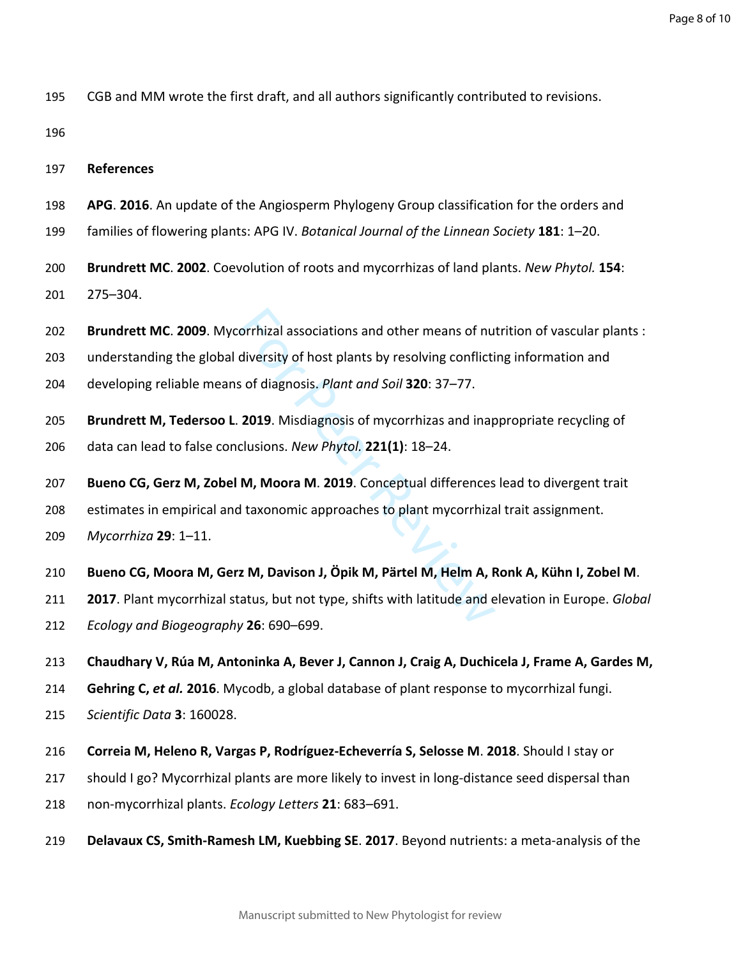CGB and MM wrote the first draft, and all authors significantly contributed to revisions.

**References**

- **APG**. **2016**. An update of the Angiosperm Phylogeny Group classification for the orders and
- families of flowering plants: APG IV. *Botanical Journal of the Linnean Society* **181**: 1–20.
- **Brundrett MC**. **2002**. Coevolution of roots and mycorrhizas of land plants. *New Phytol.* **154**: 275–304.
- orrhizal associations and other means of nu<br>diversity of host plants by resolving conflicti<br>s of diagnosis. *Plant and Soil* **320**: 37–77.<br>**2019**. Misdiagnosis of mycorrhizas and inap<br>clusions. *New Phytol.* **221(1)**: 18–2 **Brundrett MC**. **2009**. Mycorrhizal associations and other means of nutrition of vascular plants :
- understanding the global diversity of host plants by resolving conflicting information and
- developing reliable means of diagnosis. *Plant and Soil* **320**: 37–77.
- **Brundrett M, Tedersoo L**. **2019**. Misdiagnosis of mycorrhizas and inappropriate recycling of
- data can lead to false conclusions. *New Phytol.* **221(1)**: 18–24.
- **Bueno CG, Gerz M, Zobel M, Moora M**. **2019**. Conceptual differences lead to divergent trait
- estimates in empirical and taxonomic approaches to plant mycorrhizal trait assignment.
- *Mycorrhiza* **29**: 1–11.
- **Bueno CG, Moora M, Gerz M, Davison J, Öpik M, Pärtel M, Helm A, Ronk A, Kühn I, Zobel M**.
- **2017**. Plant mycorrhizal status, but not type, shifts with latitude and elevation in Europe. *Global*
- *Ecology and Biogeography* **26**: 690–699.
- **Chaudhary V, Rúa M, Antoninka A, Bever J, Cannon J, Craig A, Duchicela J, Frame A, Gardes M,**
- **Gehring C,** *et al.* **2016**. Mycodb, a global database of plant response to mycorrhizal fungi.
- *Scientific Data* **3**: 160028.
- **Correia M, Heleno R, Vargas P, Rodríguez-Echeverría S, Selosse M**. **2018**. Should I stay or
- should I go? Mycorrhizal plants are more likely to invest in long-distance seed dispersal than
- non-mycorrhizal plants. *Ecology Letters* **21**: 683–691.
- **Delavaux CS, Smith-Ramesh LM, Kuebbing SE**. **2017**. Beyond nutrients: a meta-analysis of the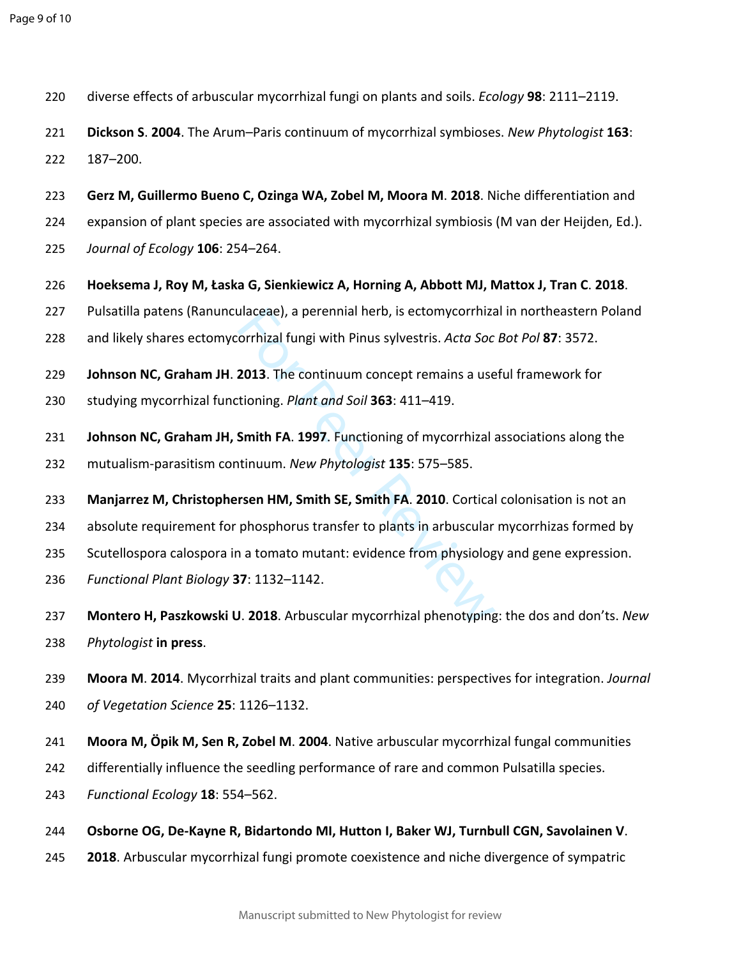- diverse effects of arbuscular mycorrhizal fungi on plants and soils. *Ecology* **98**: 2111–2119.
- **Dickson S**. **2004**. The Arum–Paris continuum of mycorrhizal symbioses. *New Phytologist* **163**: 187–200.
- **Gerz M, Guillermo Bueno C, Ozinga WA, Zobel M, Moora M**. **2018**. Niche differentiation and
- expansion of plant species are associated with mycorrhizal symbiosis (M van der Heijden, Ed.).
- *Journal of Ecology* **106**: 254–264.
- **Hoeksema J, Roy M, Łaska G, Sienkiewicz A, Horning A, Abbott MJ, Mattox J, Tran C**. **2018**.
- Pulsatilla patens (Ranunculaceae), a perennial herb, is ectomycorrhizal in northeastern Poland
- and likely shares ectomycorrhizal fungi with Pinus sylvestris. *Acta Soc Bot Pol* **87**: 3572.
- **Johnson NC, Graham JH**. **2013**. The continuum concept remains a useful framework for
- studying mycorrhizal functioning. *Plant and Soil* **363**: 411–419.
- ulaceae), a perennial herb, is ectomycorrhizz<br>orrhizal fungi with Pinus sylvestris. Acta Soc<br>2013. The continuum concept remains a use<br>tioning. *Plant and Soil* 363: 411–419.<br>Smith FA. 1997. Functioning of mycorrhizal a<br>ti **Johnson NC, Graham JH, Smith FA**. **1997**. Functioning of mycorrhizal associations along the mutualism-parasitism continuum. *New Phytologist* **135**: 575–585.
- **Manjarrez M, Christophersen HM, Smith SE, Smith FA**. **2010**. Cortical colonisation is not an
- absolute requirement for phosphorus transfer to plants in arbuscular mycorrhizas formed by
- Scutellospora calospora in a tomato mutant: evidence from physiology and gene expression.
- *Functional Plant Biology* **37**: 1132–1142.
- **Montero H, Paszkowski U**. **2018**. Arbuscular mycorrhizal phenotyping: the dos and don'ts. *New Phytologist* **in press** .
- **Moora M**. **2014**. Mycorrhizal traits and plant communities: perspectives for integration. *Journal of Vegetation Science* **25**: 1126–1132.
- **Moora M, Öpik M, Sen R, Zobel M**. **2004**. Native arbuscular mycorrhizal fungal communities
- differentially influence the seedling performance of rare and common Pulsatilla species.
- *Functional Ecology* **18**: 554–562.
- **Osborne OG, De-Kayne R, Bidartondo MI, Hutton I, Baker WJ, Turnbull CGN, Savolainen V**.
- **2018**. Arbuscular mycorrhizal fungi promote coexistence and niche divergence of sympatric